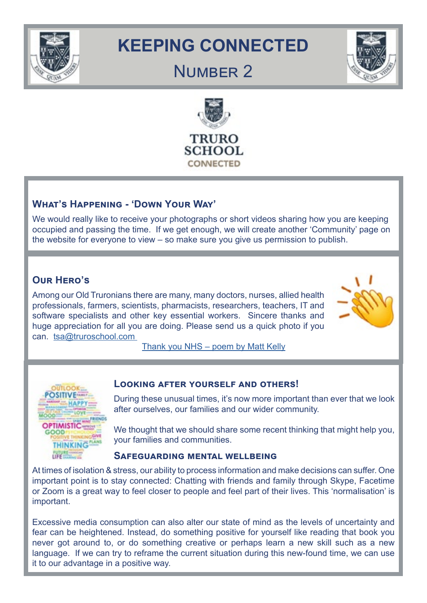

# **KEEPING CONNECTED**

## NUMBER<sub>2</sub>



## **What's Happening - 'Down Your Way'**

We would really like to receive your photographs or short videos sharing how you are keeping occupied and passing the time. If we get enough, we will create another 'Community' page on the website for everyone to view – so make sure you give us permission to publish.

## **Our Hero's**

Among our Old Truronians there are many, many doctors, nurses, allied health professionals, farmers, scientists, pharmacists, researchers, teachers, IT and software specialists and other key essential workers. Sincere thanks and huge appreciation for all you are doing. Please send us a quick photo if you can. [tsa@truroschool.com](http://tsa@truroschool.com ) 



[Thank you NHS – poem by Matt Kelly](https://www.bing.com/videos/search?q=youtube+NHS+thank+you+poem+matt+kelly&docid=13823018291405&mid=B754981003E405D563DBB754981003E405D563DB&view=detail&FORM=VIRE)



#### **Looking after yourself and others!**

During these unusual times, it's now more important than ever that we look after ourselves, our families and our wider community.

We thought that we should share some recent thinking that might help you, your families and communities.

#### **Safeguarding mental wellbeing**

At times of isolation & stress, our ability to process information and make decisions can suffer. One important point is to stay connected: Chatting with friends and family through Skype, Facetime or Zoom is a great way to feel closer to people and feel part of their lives. This 'normalisation' is important.

Excessive media consumption can also alter our state of mind as the levels of uncertainty and fear can be heightened. Instead, do something positive for yourself like reading that book you never got around to, or do something creative or perhaps learn a new skill such as a new language. If we can try to reframe the current situation during this new-found time, we can use it to our advantage in a positive way.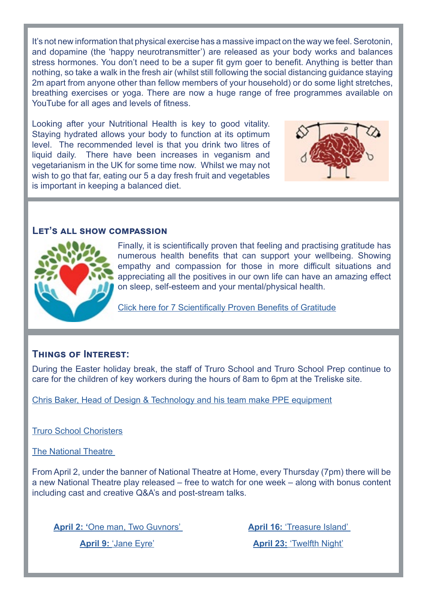It's not new information that physical exercise has a massive impact on the way we feel. Serotonin, and dopamine (the 'happy neurotransmitter') are released as your body works and balances stress hormones. You don't need to be a super fit gym goer to benefit. Anything is better than nothing, so take a walk in the fresh air (whilst still following the social distancing guidance staying 2m apart from anyone other than fellow members of your household) or do some light stretches, breathing exercises or yoga. There are now a huge range of free programmes available on YouTube for all ages and levels of fitness.

Looking after your Nutritional Health is key to good vitality. Staying hydrated allows your body to function at its optimum level. The recommended level is that you drink two litres of liquid daily. There have been increases in veganism and vegetarianism in the UK for some time now. Whilst we may not wish to go that far, eating our 5 a day fresh fruit and vegetables is important in keeping a balanced diet.



#### **Let's all show compassion**



Finally, it is scientifically proven that feeling and practising gratitude has numerous health benefits that can support your wellbeing. Showing empathy and compassion for those in more difficult situations and appreciating all the positives in our own life can have an amazing effect on sleep, self-esteem and your mental/physical health.

[Click here for 7 Scientifically Proven Benefits of Gratitude](https://www.psychologytoday.com/gb/blog/what-mentally-strong-people-dont-do/201504/7-scientifically-proven-benefits-gratitude)

#### **Things of Interest:**

During the Easter holiday break, the staff of Truro School and Truro School Prep continue to care for the children of key workers during the hours of 8am to 6pm at the Treliske site.

[Chris Baker, Head of Design & Technology and his team make PPE equipment](https://www.truroschool.com/latest-news/face-shields/)

[Truro School Choristers](https://www.truroschool.com/choristers/choir-reflections/)

[The National Theatre](https://www.nationaltheatre.org.uk/?login=yes) 

From April 2, under the banner of National Theatre at Home, every Thursday (7pm) there will be a new National Theatre play released – free to watch for one week – along with bonus content including cast and creative Q&A's and post-stream talks.

**April 2: '**[One man, Two Guvnors'](https://www.nationaltheatre.org.uk/shows/nt-at-home-one-man-two-guvnors) 

**April 16:** ['Treasure Island'](https://www.nationaltheatre.org.uk/nt-at-home) 

**April 9:** ['Jane Eyre'](https://www.nationaltheatre.org.uk/shows/nt-at-home-jane-eyre)

**April 23:** ['Twelfth Night'](https://www.nationaltheatre.org.uk/nt-at-home)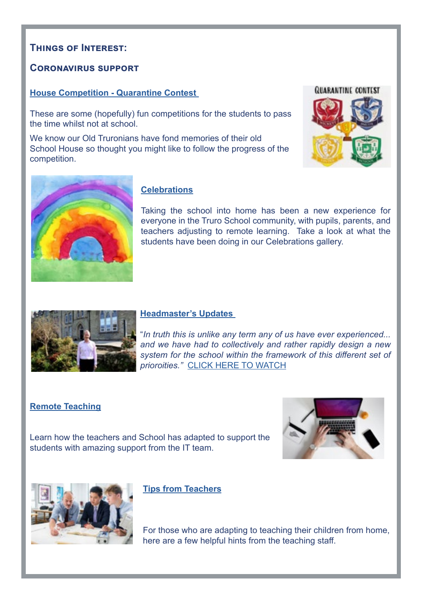#### **Things of Interest:**

#### **Coronavirus support**

#### **[House Competition - Quarantine Contest](https://www.truroschool.com/wp-content/uploads/2020/04/Quarantine-Contest-V4-.pdf)**

These are some (hopefully) fun competitions for the students to pass the time whilst not at school.

We know our Old Truronians have fond memories of their old School House so thought you might like to follow the progress of the competition.





#### **[Celebrations](https://www.truroschool.com/parents/coronavirus-support/celebrations/)**

Taking the school into home has been a new experience for everyone in the Truro School community, with pupils, parents, and teachers adjusting to remote learning. Take a look at what the students have been doing in our Celebrations gallery.



#### **[Headmaster's Updates](https://www.truroschool.com/parents/coronavirus-support/headmasters-updates/)**

"*In truth this is unlike any term any of us have ever experienced... and we have had to collectively and rather rapidly design a new system for the school within the framework of this different set of prioroities."* [CLICK HERE TO WATCH](https://www.truroschool.com/latest-news/a-word-from-the-headmaster-2/)

#### **[Remote Teaching](https://www.truroschool.com/parents/coronavirus-support/remote-teaching/)**



Learn how the teachers and School has adapted to support the students with amazing support from the IT team.



**[Tips from Teachers](https://www.truroschool.com/parents/coronavirus-support/tips-from-teachers/)**

For those who are adapting to teaching their children from home, here are a few helpful hints from the teaching staff.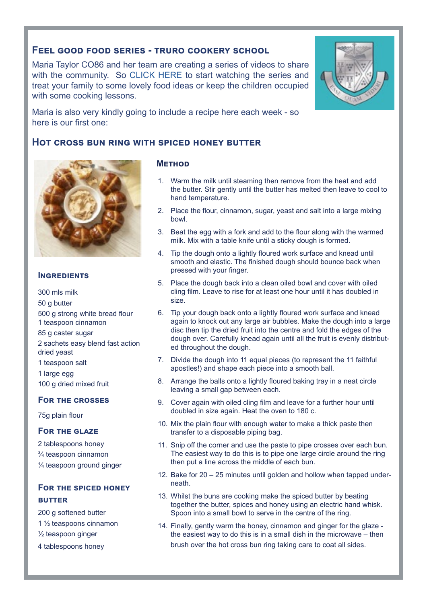#### **Feel good food series - truro cookery school**

Maria Taylor CO86 and her team are creating a series of videos to share with the community. So [CLICK HERE t](https://www.facebook.com/pg/truroschoolcookery/videos/?ref=page_internal)o start watching the series and treat your family to some lovely food ideas or keep the children occupied with some cooking lessons.

Maria is also very kindly going to include a recipe here each week - so here is our first one:

#### **Hot cross bun ring with spiced honey butter**



#### **Ingredients**

300 mls milk 50 g butter 500 g strong white bread flour 1 teaspoon cinnamon 85 g caster sugar 2 sachets easy blend fast action dried yeast 1 teaspoon salt 1 large egg 100 g dried mixed fruit

#### **For the crosses**

75g plain flour

#### **For the glaze**

2 tablespoons honey ¾ teaspoon cinnamon ¼ teaspoon ground ginger

#### **For the spiced honey butter**

200 g softened butter

1 ½ teaspoons cinnamon

½ teaspoon ginger

4 tablespoons honey

#### **Method**

- 1. Warm the milk until steaming then remove from the heat and add the butter. Stir gently until the butter has melted then leave to cool to hand temperature.
- 2. Place the flour, cinnamon, sugar, yeast and salt into a large mixing bowl.
- 3. Beat the egg with a fork and add to the flour along with the warmed milk. Mix with a table knife until a sticky dough is formed.
- 4. Tip the dough onto a lightly floured work surface and knead until smooth and elastic. The finished dough should bounce back when pressed with your finger.
- 5. Place the dough back into a clean oiled bowl and cover with oiled cling film. Leave to rise for at least one hour until it has doubled in size.
- 6. Tip your dough back onto a lightly floured work surface and knead again to knock out any large air bubbles. Make the dough into a large disc then tip the dried fruit into the centre and fold the edges of the dough over. Carefully knead again until all the fruit is evenly distributed throughout the dough.
- 7. Divide the dough into 11 equal pieces (to represent the 11 faithful apostles!) and shape each piece into a smooth ball.
- 8. Arrange the balls onto a lightly floured baking tray in a neat circle leaving a small gap between each.
- 9. Cover again with oiled cling film and leave for a further hour until doubled in size again. Heat the oven to 180 c.
- 10. Mix the plain flour with enough water to make a thick paste then transfer to a disposable piping bag.
- 11. Snip off the corner and use the paste to pipe crosses over each bun. The easiest way to do this is to pipe one large circle around the ring then put a line across the middle of each bun.
- 12. Bake for 20 25 minutes until golden and hollow when tapped underneath.
- 13. Whilst the buns are cooking make the spiced butter by beating together the butter, spices and honey using an electric hand whisk. Spoon into a small bowl to serve in the centre of the ring.
- 14. Finally, gently warm the honey, cinnamon and ginger for the glaze the easiest way to do this is in a small dish in the microwave – then brush over the hot cross bun ring taking care to coat all sides.

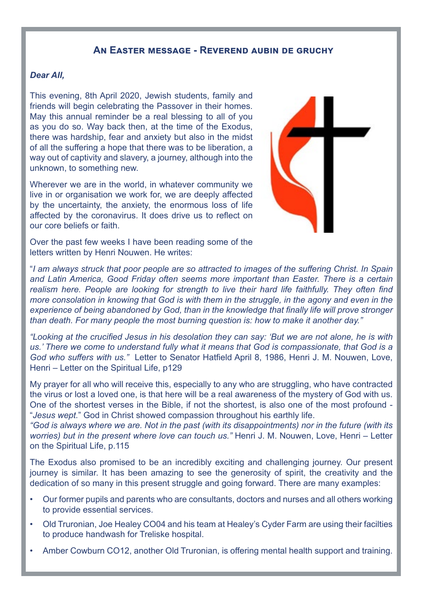#### **An Easter message - Reverend aubin de gruchy**

#### *Dear All,*

This evening, 8th April 2020, Jewish students, family and friends will begin celebrating the Passover in their homes. May this annual reminder be a real blessing to all of you as you do so. Way back then, at the time of the Exodus, there was hardship, fear and anxiety but also in the midst of all the suffering a hope that there was to be liberation, a way out of captivity and slavery, a journey, although into the unknown, to something new.

Wherever we are in the world, in whatever community we live in or organisation we work for, we are deeply affected by the uncertainty, the anxiety, the enormous loss of life affected by the coronavirus. It does drive us to reflect on our core beliefs or faith.

Over the past few weeks I have been reading some of the letters written by Henri Nouwen. He writes:

"*I am always struck that poor people are so attracted to images of the suffering Christ. In Spain and Latin America, Good Friday often seems more important than Easter. There is a certain realism here. People are looking for strength to live their hard life faithfully. They often find more consolation in knowing that God is with them in the struggle, in the agony and even in the experience of being abandoned by God, than in the knowledge that finally life will prove stronger than death. For many people the most burning question is: how to make it another day."*

*"Looking at the crucified Jesus in his desolation they can say: 'But we are not alone, he is with us.' There we come to understand fully what it means that God is compassionate, that God is a God who suffers with us."* Letter to Senator Hatfield April 8, 1986, Henri J. M. Nouwen, Love, Henri – Letter on the Spiritual Life, p129

My prayer for all who will receive this, especially to any who are struggling, who have contracted the virus or lost a loved one, is that here will be a real awareness of the mystery of God with us. One of the shortest verses in the Bible, if not the shortest, is also one of the most profound - "*Jesus wept.*" God in Christ showed compassion throughout his earthly life.

*"God is always where we are. Not in the past (with its disappointments) nor in the future (with its worries) but in the present where love can touch us."* Henri J. M. Nouwen, Love, Henri – Letter on the Spiritual Life, p.115

The Exodus also promised to be an incredibly exciting and challenging journey. Our present journey is similar. It has been amazing to see the generosity of spirit, the creativity and the dedication of so many in this present struggle and going forward. There are many examples:

- Our former pupils and parents who are consultants, doctors and nurses and all others working to provide essential services.
- Old Truronian, Joe Healey CO04 and his team at Healey's Cyder Farm are using their facilties to produce handwash for Treliske hospital.
- Amber Cowburn CO12, another Old Truronian, is offering mental health support and training.